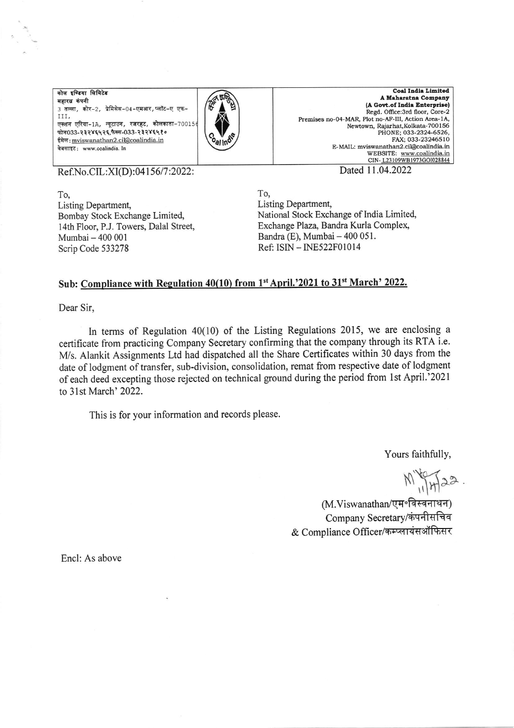कोल इण्डिया लिमिटेड महारत्न कंपनी 3 तल्ला, कोर-2, प्रेमिसेस-04-एमआर,प्लॉट-ए एफ-III, एक्शन एरिया-1A, न्यूटाउन, रजरहट, कोलकाता-70015 फोन033-२३२४६५२६,फैक्स-033-२३२४६५१० ईमेल: mviswanathan2.cil@coalindia.in वेबसाइट: www.coalindia. In



**Coal India Limited** A Maharatna Company (A Govt.of India Enterprise) Regd. Office:3rd floor, Core-2 Premises no-04-MAR, Plot no-AF-III, Action Area-1A, Newtown, Rajarhat, Kolkata-700156 PHONE; 033-2324-6526,<br>FAX: 033-23246510 E-MAIL: mviswanathan2.cil@coalindia.in WEBSITE: www.coalindia.in CIN-L23109WB1973GOI028844

Ref.No.CIL:XI(D):04156/7:2022:

To, Listing Department, Bombay Stock Exchange Limited, 14th Floor, P.J. Towers, Dalal Street, Mumbai - 400 001 Scrip Code 533278

Dated 11.04.2022

To, Listing Department, National Stock Exchange of India Limited, Exchange Plaza, Bandra Kurla Complex, Bandra (E), Mumbai - 400 051. Ref: ISIN - INE522F01014

## Sub: Compliance with Regulation 40(10) from 1<sup>st</sup> April.'2021 to 31<sup>st</sup> March' 2022.

Dear Sir,

In terms of Regulation  $40(10)$  of the Listing Regulations 2015, we are enclosing a certificate from practicing Company Secretary confirming that the company through its RTA i.e. M/s. Alankit Assignments Ltd had dispatched all the Share Certificates within 30 days from the date of lodgment of transfer, sub-division, consolidation, remat from respective date of lodgment of each deed excepting those rejected on technical ground during the period from 1st April.'2021 to 31st March' 2022.

This is for your information and records please.

Yours faithfully,

 $M_{11}$   $422$ .

(M.Viswanathan/एम॰विस्वनाथन) Company Secretary/कंपनीसचिव & Compliance Officer/कम्प्लायंसऑफिसर

Encl: As above